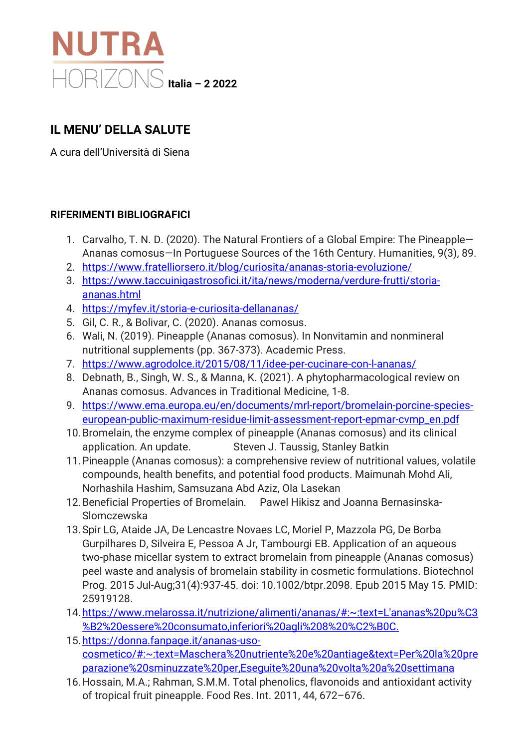

## **IL MENU' DELLA SALUTE**

A cura dell'Università di Siena

## **RIFERIMENTI BIBLIOGRAFICI**

- 1. Carvalho, T. N. D. (2020). The Natural Frontiers of a Global Empire: The Pineapple— Ananas comosus—In Portuguese Sources of the 16th Century. Humanities, 9(3), 89.
- 2. <https://www.fratelliorsero.it/blog/curiosita/ananas-storia-evoluzione/>
- 3. [https://www.taccuinigastrosofici.it/ita/news/moderna/verdure-frutti/storia](https://www.taccuinigastrosofici.it/ita/news/moderna/verdure-frutti/storia-ananas.html)[ananas.html](https://www.taccuinigastrosofici.it/ita/news/moderna/verdure-frutti/storia-ananas.html)
- 4. <https://myfev.it/storia-e-curiosita-dellananas/>
- 5. Gil, C. R., & Bolivar, C. (2020). Ananas comosus.
- 6. Wali, N. (2019). Pineapple (Ananas comosus). In Nonvitamin and nonmineral nutritional supplements (pp. 367-373). Academic Press.
- 7. <https://www.agrodolce.it/2015/08/11/idee-per-cucinare-con-l-ananas/>
- 8. Debnath, B., Singh, W. S., & Manna, K. (2021). A phytopharmacological review on Ananas comosus. Advances in Traditional Medicine, 1-8.
- 9. [https://www.ema.europa.eu/en/documents/mrl-report/bromelain-porcine-species](https://www.ema.europa.eu/en/documents/mrl-report/bromelain-porcine-species-european-public-maximum-residue-limit-assessment-report-epmar-cvmp_en.pdf)[european-public-maximum-residue-limit-assessment-report-epmar-cvmp\\_en.pdf](https://www.ema.europa.eu/en/documents/mrl-report/bromelain-porcine-species-european-public-maximum-residue-limit-assessment-report-epmar-cvmp_en.pdf)
- 10.Bromelain, the enzyme complex of pineapple (Ananas comosus) and its clinical application. An update. Steven J. Taussig, Stanley Batkin
- 11.Pineapple (Ananas comosus): a comprehensive review of nutritional values, volatile compounds, health benefits, and potential food products. Maimunah Mohd Ali, Norhashila Hashim, Samsuzana Abd Aziz, Ola Lasekan
- 12.Beneficial Properties of Bromelain. Pawel Hikisz and Joanna Bernasinska-Slomczewska
- 13.Spir LG, Ataide JA, De Lencastre Novaes LC, Moriel P, Mazzola PG, De Borba Gurpilhares D, Silveira E, Pessoa A Jr, Tambourgi EB. Application of an aqueous two-phase micellar system to extract bromelain from pineapple (Ananas comosus) peel waste and analysis of bromelain stability in cosmetic formulations. Biotechnol Prog. 2015 Jul-Aug;31(4):937-45. doi: 10.1002/btpr.2098. Epub 2015 May 15. PMID: 25919128.
- 14[.https://www.melarossa.it/nutrizione/alimenti/ananas/#:~:text=L'ananas%20pu%C3](https://www.melarossa.it/nutrizione/alimenti/ananas/#:%7E:text=L) [%B2%20essere%20consumato,inferiori%20agli%208%20%C2%B0C.](https://www.melarossa.it/nutrizione/alimenti/ananas/#:%7E:text=L)
- 15[.https://donna.fanpage.it/ananas-uso](https://donna.fanpage.it/ananas-uso-cosmetico/#:%7E:text=Maschera%20nutriente%20e%20antiage&text=Per%20la%20preparazione%20sminuzzate%20per,Eseguite%20una%20volta%20a%20settimana)[cosmetico/#:~:text=Maschera%20nutriente%20e%20antiage&text=Per%20la%20pre](https://donna.fanpage.it/ananas-uso-cosmetico/#:%7E:text=Maschera%20nutriente%20e%20antiage&text=Per%20la%20preparazione%20sminuzzate%20per,Eseguite%20una%20volta%20a%20settimana) [parazione%20sminuzzate%20per,Eseguite%20una%20volta%20a%20settimana](https://donna.fanpage.it/ananas-uso-cosmetico/#:%7E:text=Maschera%20nutriente%20e%20antiage&text=Per%20la%20preparazione%20sminuzzate%20per,Eseguite%20una%20volta%20a%20settimana)
- 16.Hossain, M.A.; Rahman, S.M.M. Total phenolics, flavonoids and antioxidant activity of tropical fruit pineapple. Food Res. Int. 2011, 44, 672–676.